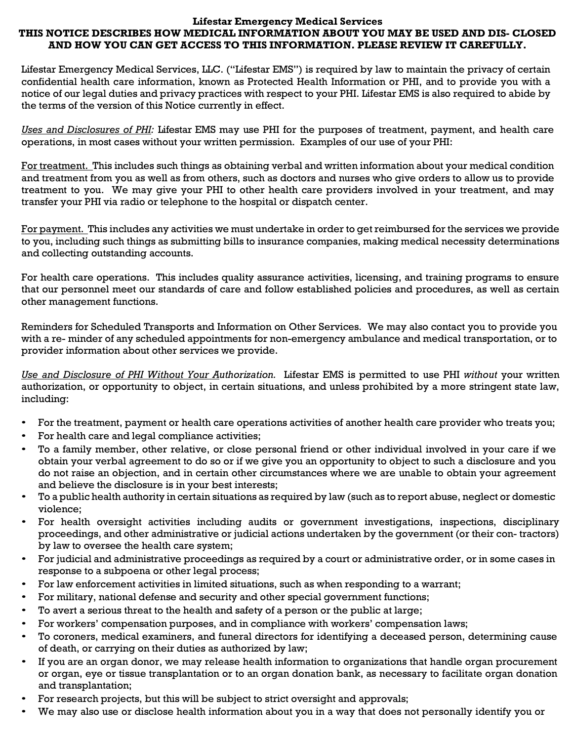## Lifestar Emergency Medical Services THIS NOTICE DESCRIBES HOW MEDICAL INFORMATION ABOUT YOU MAY BE USED AND DIS- CLOSED AND HOW YOU CAN GET ACCESS TO THIS INFORMATION. PLEASE REVIEW IT CAREFULLY.

Lifestar Emergency Medical Services, LLC. ("Lifestar EMS") is required by law to maintain the privacy of certain confidential health care information, known as Protected Health Information or PHI, and to provide you with a notice of our legal duties and privacy practices with respect to your PHI. Lifestar EMS is also required to abide by the terms of the version of this Notice currently in effect.

Uses and Disclosures of PHI: Lifestar EMS may use PHI for the purposes of treatment, payment, and health care operations, in most cases without your written permission. Examples of our use of your PHI:

For treatment. This includes such things as obtaining verbal and written information about your medical condition and treatment from you as well as from others, such as doctors and nurses who give orders to allow us to provide treatment to you. We may give your PHI to other health care providers involved in your treatment, and may transfer your PHI via radio or telephone to the hospital or dispatch center.

For payment. This includes any activities we must undertake in order to get reimbursed for the services we provide to you, including such things as submitting bills to insurance companies, making medical necessity determinations and collecting outstanding accounts.

For health care operations. This includes quality assurance activities, licensing, and training programs to ensure that our personnel meet our standards of care and follow established policies and procedures, as well as certain other management functions.

Reminders for Scheduled Transports and Information on Other Services. We may also contact you to provide you with a re- minder of any scheduled appointments for non-emergency ambulance and medical transportation, or to provider information about other services we provide.

Use and Disclosure of PHI Without Your Authorization. Lifestar EMS is permitted to use PHI without your written authorization, or opportunity to object, in certain situations, and unless prohibited by a more stringent state law, including:

- For the treatment, payment or health care operations activities of another health care provider who treats you;
- For health care and legal compliance activities;
- To a family member, other relative, or close personal friend or other individual involved in your care if we obtain your verbal agreement to do so or if we give you an opportunity to object to such a disclosure and you do not raise an objection, and in certain other circumstances where we are unable to obtain your agreement and believe the disclosure is in your best interests;
- To a public health authority in certain situations as required by law (such as to report abuse, neglect or domestic violence;
- For health oversight activities including audits or government investigations, inspections, disciplinary proceedings, and other administrative or judicial actions undertaken by the government (or their con- tractors) by law to oversee the health care system;
- For judicial and administrative proceedings as required by a court or administrative order, or in some cases in response to a subpoena or other legal process;
- For law enforcement activities in limited situations, such as when responding to a warrant;
- For military, national defense and security and other special government functions;
- To avert a serious threat to the health and safety of a person or the public at large;
- For workers' compensation purposes, and in compliance with workers' compensation laws;
- To coroners, medical examiners, and funeral directors for identifying a deceased person, determining cause of death, or carrying on their duties as authorized by law;
- If you are an organ donor, we may release health information to organizations that handle organ procurement or organ, eye or tissue transplantation or to an organ donation bank, as necessary to facilitate organ donation and transplantation;
- For research projects, but this will be subject to strict oversight and approvals;
- We may also use or disclose health information about you in a way that does not personally identify you or